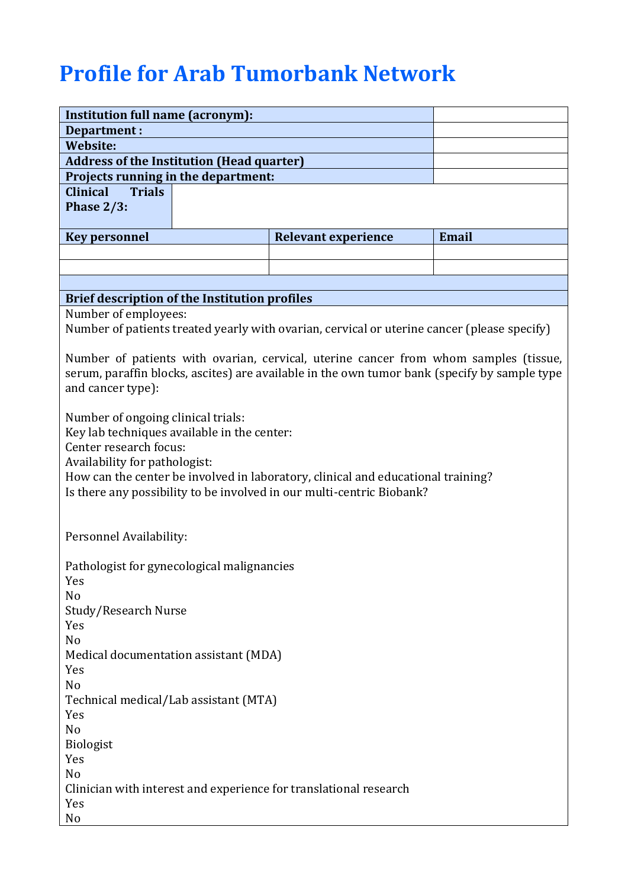## **Profile for Arab Tumorbank Network**

| <b>Institution full name (acronym):</b>                                                      |                                                                                  |              |  |
|----------------------------------------------------------------------------------------------|----------------------------------------------------------------------------------|--------------|--|
| <b>Department:</b>                                                                           |                                                                                  |              |  |
| <b>Website:</b>                                                                              |                                                                                  |              |  |
| <b>Address of the Institution (Head quarter)</b>                                             |                                                                                  |              |  |
| Projects running in the department:                                                          |                                                                                  |              |  |
| <b>Trials</b><br><b>Clinical</b>                                                             |                                                                                  |              |  |
| Phase $2/3$ :                                                                                |                                                                                  |              |  |
| <b>Key personnel</b>                                                                         | <b>Relevant experience</b>                                                       | <b>Email</b> |  |
|                                                                                              |                                                                                  |              |  |
|                                                                                              |                                                                                  |              |  |
|                                                                                              |                                                                                  |              |  |
| <b>Brief description of the Institution profiles</b>                                         |                                                                                  |              |  |
| Number of employees:                                                                         |                                                                                  |              |  |
| Number of patients treated yearly with ovarian, cervical or uterine cancer (please specify)  |                                                                                  |              |  |
|                                                                                              |                                                                                  |              |  |
| Number of patients with ovarian, cervical, uterine cancer from whom samples (tissue,         |                                                                                  |              |  |
| serum, paraffin blocks, ascites) are available in the own tumor bank (specify by sample type |                                                                                  |              |  |
| and cancer type):                                                                            |                                                                                  |              |  |
|                                                                                              |                                                                                  |              |  |
| Number of ongoing clinical trials:                                                           |                                                                                  |              |  |
| Key lab techniques available in the center:                                                  |                                                                                  |              |  |
| Center research focus:                                                                       |                                                                                  |              |  |
| Availability for pathologist:                                                                |                                                                                  |              |  |
|                                                                                              | How can the center be involved in laboratory, clinical and educational training? |              |  |
| Is there any possibility to be involved in our multi-centric Biobank?                        |                                                                                  |              |  |
|                                                                                              |                                                                                  |              |  |
|                                                                                              |                                                                                  |              |  |
| Personnel Availability:                                                                      |                                                                                  |              |  |
|                                                                                              |                                                                                  |              |  |
| Pathologist for gynecological malignancies<br>Yes                                            |                                                                                  |              |  |
| No                                                                                           |                                                                                  |              |  |
| Study/Research Nurse                                                                         |                                                                                  |              |  |
| Yes                                                                                          |                                                                                  |              |  |
| No                                                                                           |                                                                                  |              |  |
| Medical documentation assistant (MDA)                                                        |                                                                                  |              |  |
| Yes                                                                                          |                                                                                  |              |  |
| No                                                                                           |                                                                                  |              |  |
| Technical medical/Lab assistant (MTA)                                                        |                                                                                  |              |  |
| Yes                                                                                          |                                                                                  |              |  |
| No                                                                                           |                                                                                  |              |  |
| Biologist                                                                                    |                                                                                  |              |  |
| Yes                                                                                          |                                                                                  |              |  |
| No                                                                                           |                                                                                  |              |  |
| Clinician with interest and experience for translational research                            |                                                                                  |              |  |
| Yes                                                                                          |                                                                                  |              |  |
| N <sub>0</sub>                                                                               |                                                                                  |              |  |